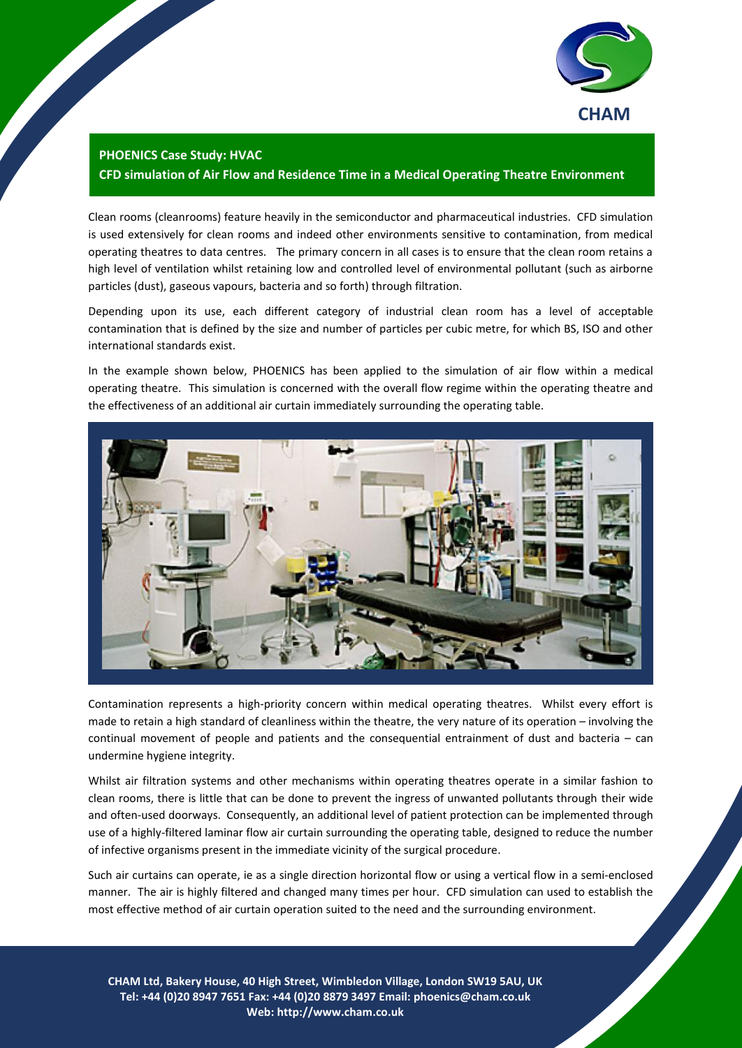

## **PHOENICS Case Study: HVAC CFD simulation of Air Flow and Residence Time in a Medical Operating Theatre Environment**

Clean rooms (cleanrooms) feature heavily in the semiconductor and pharmaceutical industries. CFD simulation is used extensively for clean rooms and indeed other environments sensitive to contamination, from medical operating theatres to data centres. The primary concern in all cases is to ensure that the clean room retains a high level of ventilation whilst retaining low and controlled level of environmental pollutant (such as airborne particles (dust), gaseous vapours, bacteria and so forth) through filtration.

Depending upon its use, each different category of industrial clean room has a level of acceptable contamination that is defined by the size and number of particles per cubic metre, for which BS, ISO and other international standards exist.

In the example shown below, PHOENICS has been applied to the simulation of air flow within a medical operating theatre. This simulation is concerned with the overall flow regime within the operating theatre and the effectiveness of an additional air curtain immediately surrounding the operating table.



Contamination represents a high-priority concern within medical operating theatres. Whilst every effort is made to retain a high standard of cleanliness within the theatre, the very nature of its operation – involving the continual movement of people and patients and the consequential entrainment of dust and bacteria – can undermine hygiene integrity.

Whilst air filtration systems and other mechanisms within operating theatres operate in a similar fashion to clean rooms, there is little that can be done to prevent the ingress of unwanted pollutants through their wide and often-used doorways. Consequently, an additional level of patient protection can be implemented through use of a highly-filtered laminar flow air curtain surrounding the operating table, designed to reduce the number of infective organisms present in the immediate vicinity of the surgical procedure.

Such air curtains can operate, ie as a single direction horizontal flow or using a vertical flow in a semi-enclosed manner. The air is highly filtered and changed many times per hour. CFD simulation can used to establish the most effective method of air curtain operation suited to the need and the surrounding environment.

**CHAM Ltd, Bakery House, 40 High Street, Wimbledon Village, London SW19 5AU, UK** 1 **Tel: +44 (0)20 8947 7651 Fax: +44 (0)20 8879 3497 Email: [phoenics@cham.co.uk](mailto:phoenics@cham.co.uk) Web: http://www.cham.co.uk**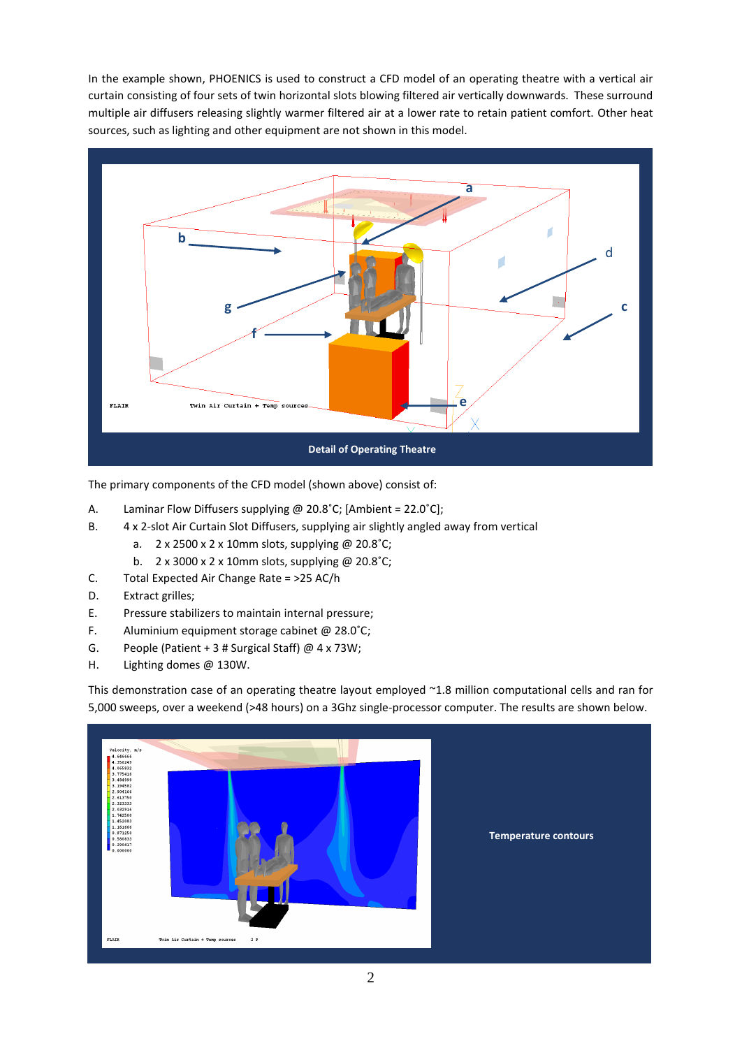In the example shown, PHOENICS is used to construct a CFD model of an operating theatre with a vertical air curtain consisting of four sets of twin horizontal slots blowing filtered air vertically downwards. These surround multiple air diffusers releasing slightly warmer filtered air at a lower rate to retain patient comfort. Other heat sources, such as lighting and other equipment are not shown in this model.



The primary components of the CFD model (shown above) consist of:

- A. Laminar Flow Diffusers supplying @ 20.8°C; [Ambient = 22.0°C];
- B. 4 x 2-slot Air Curtain Slot Diffusers, supplying air slightly angled away from vertical
	- a. 2 x 2500 x 2 x 10mm slots, supplying @ 20.8˚C;
	- b. 2 x 3000 x 2 x 10mm slots, supplying @ 20.8˚C;
- C. Total Expected Air Change Rate = >25 AC/h
- D. Extract grilles;
- E. Pressure stabilizers to maintain internal pressure;
- F. Aluminium equipment storage cabinet @ 28.0˚C;
- G. People (Patient + 3 # Surgical Staff) @ 4 x 73W;
- H. Lighting domes @ 130W.

This demonstration case of an operating theatre layout employed ~1.8 million computational cells and ran for 5,000 sweeps, over a weekend (>48 hours) on a 3Ghz single-processor computer. The results are shown below.

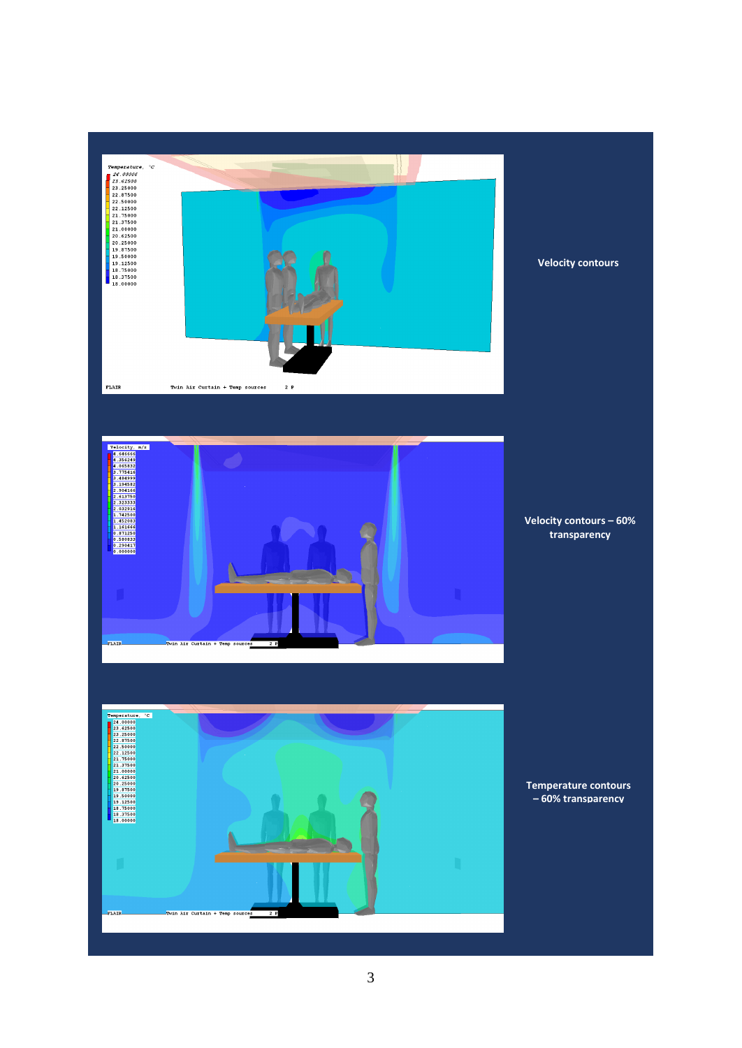